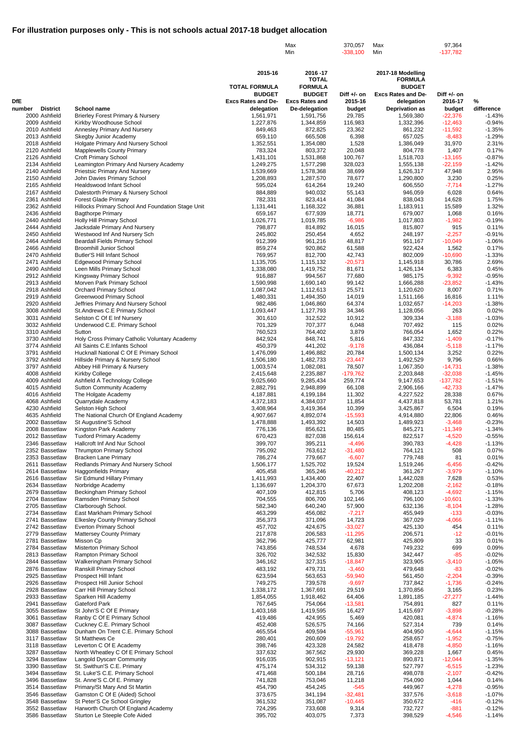|                                  |                                                                                |                                         | Max<br>Min                             | 370,057<br>$-338,100$    | Max<br>Min                          | 97,364<br>$-137,782$    |                      |
|----------------------------------|--------------------------------------------------------------------------------|-----------------------------------------|----------------------------------------|--------------------------|-------------------------------------|-------------------------|----------------------|
|                                  |                                                                                |                                         |                                        |                          |                                     |                         |                      |
|                                  |                                                                                |                                         |                                        |                          |                                     |                         |                      |
|                                  |                                                                                | 2015-16                                 | 2016-17<br><b>TOTAL</b>                |                          | 2017-18 Modelling<br><b>FORMULA</b> |                         |                      |
|                                  |                                                                                | <b>TOTAL FORMULA</b>                    | <b>FORMULA</b>                         |                          | <b>BUDGET</b>                       |                         |                      |
| <b>DfE</b>                       |                                                                                | <b>BUDGET</b>                           | <b>BUDGET</b>                          | Diff $+/-$ on<br>2015-16 | <b>Excs Rates and De-</b>           | Diff $+/-$ on           |                      |
| <b>District</b><br>number        | <b>School name</b>                                                             | <b>Excs Rates and De-</b><br>delegation | <b>Excs Rates and</b><br>De-delegation | budget                   | delegation<br><b>Deprivation as</b> | 2016-17<br>budget       | %<br>difference      |
| 2000 Ashfield                    | <b>Brierley Forest Primary &amp; Nursery</b>                                   | 1,561,971                               | 1,591,756                              | 29,785                   | 1,569,380                           | $-22,376$               | $-1.43%$             |
| 2009 Ashfield                    | Kirkby Woodhouse School                                                        | 1,227,876                               | 1,344,859                              | 116,983                  | 1,332,396                           | $-12,463$               | $-0.94%$             |
| 2010 Ashfield<br>2013 Ashfield   | Annesley Primary And Nursery<br>Skegby Junior Academy                          | 849,463<br>659,110                      | 872,825<br>665,508                     | 23,362<br>6,398          | 861,232<br>657,025                  | $-11,592$<br>$-8,483$   | $-1.35%$<br>$-1.29%$ |
| 2018 Ashfield                    | Holgate Primary And Nursery School                                             | 1,352,551                               | 1,354,080                              | 1,528                    | 1,386,049                           | 31,970                  | 2.31%                |
| 2120 Ashfield                    | <b>Mapplewells County Primary</b>                                              | 783,324                                 | 803,372                                | 20,048                   | 804,778                             | 1,407                   | 0.17%                |
| 2126 Ashfield<br>2134 Ashfield   | Croft Primary School<br>Leamington Primary And Nursery Academy                 | 1,431,101<br>1,249,275                  | 1,531,868<br>1,577,298                 | 100,767<br>328,023       | 1,518,703<br>1,555,138              | $-13,165$<br>$-22,159$  | $-0.87%$<br>$-1.42%$ |
| 2140 Ashfield                    | <b>Priestsic Primary And Nursery</b>                                           | 1,539,669                               | 1,578,368                              | 38,699                   | 1,626,317                           | 47,948                  | 2.95%                |
| 2150 Ashfield                    | John Davies Primary School                                                     | 1,208,893                               | 1,287,570                              | 78,677                   | 1,290,800                           | 3,230                   | 0.25%                |
| 2165 Ashfield<br>2167 Ashfield   | <b>Healdswood Infant School</b><br>Dalestorth Primary & Nursery School         | 595,024<br>884,889                      | 614,264<br>940,032                     | 19,240<br>55,143         | 606,550<br>946,059                  | $-7,714$<br>6,028       | $-1.27%$<br>0.64%    |
| 2361 Ashfield                    | <b>Forest Glade Primary</b>                                                    | 782,331                                 | 823,414                                | 41,084                   | 838,043                             | 14,628                  | 1.75%                |
| 2362 Ashfield                    | Hillocks Primary School And Foundation Stage Unit                              | 1,131,441                               | 1,168,322                              | 36,881                   | 1,183,911                           | 15,589                  | 1.32%                |
| 2436 Ashfield<br>2440 Ashfield   | <b>Bagthorpe Primary</b><br>Holly Hill Primary School                          | 659,167<br>1,026,771                    | 677,939<br>1,019,785                   | 18,771<br>$-6,986$       | 679,007<br>1,017,803                | 1,068<br>$-1,982$       | 0.16%<br>$-0.19%$    |
| 2444 Ashfield                    | Jacksdale Primary And Nursery                                                  | 798,877                                 | 814,892                                | 16,015                   | 815,807                             | 915                     | 0.11%                |
| 2450 Ashfield                    | Westwood Inf And Nursery Sch                                                   | 245,802                                 | 250,454                                | 4,652                    | 248,197                             | $-2,257$                | $-0.91%$             |
| 2464 Ashfield                    | <b>Beardall Fields Primary School</b>                                          | 912,399                                 | 961,216                                | 48,817                   | 951,167                             | $-10,049$               | $-1.06%$             |
| 2466 Ashfield<br>2470 Ashfield   | <b>Broomhill Junior School</b><br><b>Butler'S Hill Infant School</b>           | 859,274<br>769,957                      | 920,862<br>812,700                     | 61,588<br>42,743         | 922,424<br>802,009                  | 1,562<br>$-10,690$      | 0.17%<br>$-1.33%$    |
| 2471 Ashfield                    | <b>Edgewood Primary School</b>                                                 | 1,135,705                               | 1,115,132                              | $-20,573$                | 1,145,918                           | 30,786                  | 2.69%                |
| 2490 Ashfield                    | Leen Mills Primary School                                                      | 1,338,080                               | 1,419,752                              | 81,671                   | 1,426,134                           | 6,383                   | 0.45%                |
| 2912 Ashfield<br>2913 Ashfield   | Kingsway Primary School<br>Morven Park Primary School                          | 916,887<br>1,590,998                    | 994,567<br>1,690,140                   | 77,680<br>99,142         | 985,175<br>1,666,288                | $-9,392$<br>$-23,852$   | $-0.95%$<br>$-1.43%$ |
| 2918 Ashfield                    | <b>Orchard Primary School</b>                                                  | 1,087,042                               | 1,112,613                              | 25,571                   | 1,120,620                           | 8,007                   | 0.71%                |
| 2919 Ashfield                    | <b>Greenwood Primary School</b>                                                | 1,480,331                               | 1,494,350                              | 14,019                   | 1,511,166                           | 16,816                  | 1.11%                |
| 2920 Ashfield                    | Jeffries Primary And Nursery School                                            | 982,486                                 | 1,046,860                              | 64,374                   | 1,032,657                           | $-14,203$               | $-1.38%$             |
| 3008 Ashfield<br>3031 Ashfield   | St.Andrews C.E Primary School<br>Selston C Of E Inf Nursery                    | 1,093,447<br>301,610                    | 1,127,793<br>312,522                   | 34,346<br>10,912         | 1,128,056<br>309,334                | 263<br>$-3,188$         | 0.02%<br>$-1.03%$    |
| 3032 Ashfield                    | Underwood C.E. Primary School                                                  | 701,329                                 | 707,377                                | 6,048                    | 707,492                             | 115                     | $0.02\%$             |
| 3310 Ashfield                    | Sutton                                                                         | 760,523                                 | 764,402                                | 3,879                    | 766,054                             | 1,652                   | 0.22%                |
| 3730 Ashfield<br>3774 Ashfield   | Holy Cross Primary Catholic Voluntary Academy<br>All Saints C.E.Infants School | 842,924<br>450,379                      | 848,741<br>441,202                     | 5,816<br>$-9,178$        | 847,332<br>436,084                  | $-1,409$<br>$-5,118$    | $-0.17%$<br>$-1.17%$ |
| 3791 Ashfield                    | Hucknall National C Of E Primary School                                        | 1,476,099                               | 1,496,882                              | 20,784                   | 1,500,134                           | 3,252                   | 0.22%                |
| 3792 Ashfield                    | Hillside Primary & Nursery School                                              | 1,506,180                               | 1,482,733                              | $-23,447$                | 1,492,529                           | 9,796                   | 0.66%                |
| 3797 Ashfield                    | Abbey Hill Primary & Nursery                                                   | 1,003,574                               | 1,082,081                              | 78,507                   | 1,067,350                           | $-14,731$               | $-1.38%$             |
| 4008 Ashfield<br>4009 Ashfield   | Kirkby College<br>Ashfield A Technology College                                | 2,415,648<br>9,025,660                  | 2,235,887<br>9,285,434                 | $-179,762$<br>259,774    | 2,203,848<br>9,147,653              | $-32,038$<br>$-137,782$ | $-1.45%$<br>$-1.51%$ |
| 4015 Ashfield                    | <b>Sutton Community Academy</b>                                                | 2,882,791                               | 2,948,899                              | 66,108                   | 2,906,166                           | $-42,733$               | $-1.47%$             |
| 4016 Ashfield                    | The Holgate Academy                                                            | 4,187,881                               | 4,199,184                              | 11,302                   | 4,227,522                           | 28,338                  | 0.67%                |
| 4068 Ashfield<br>4230 Ashfield   | Quarrydale Academy<br>Selston High School                                      | 4,372,183<br>3,408,964                  | 4,384,037<br>3,419,364                 | 11,854<br>10,399         | 4,437,818<br>3,425,867              | 53,781<br>6,504         | 1.21%<br>0.19%       |
| 4635 Ashfield                    | The National Church Of England Academy                                         | 4,907,667                               | 4,892,074                              | $-15,593$                | 4,914,880                           | 22,806                  | 0.46%                |
| 2002 Bassetlaw                   | St Augustine'S School                                                          | 1,478,888                               | 1,493,392                              | 14,503                   | 1,489,923                           | $-3,468$                | $-0.23%$             |
| 2008 Bassetlaw<br>2012 Bassetlaw | Kingston Park Academy<br><b>Tuxford Primary Academy</b>                        | 776,136<br>670,423                      | 856,621                                | 80,485<br>156,614        | 845,271<br>822,517                  | $-11,349$<br>$-4,520$   | $-1.34%$<br>$-0.55%$ |
| 2346 Bassetlaw                   | Hallcroft Inf And Nur School                                                   | 399,707                                 | 827,038<br>395,211                     | $-4,496$                 | 390,783                             | $-4,428$                | $-1.13%$             |
| 2352 Bassetlaw                   | <b>Thrumpton Primary School</b>                                                | 795,092                                 | 763,612                                | $-31,480$                | 764,121                             | 508                     | 0.07%                |
| 2353 Bassetlaw                   | <b>Bracken Lane Primary</b>                                                    | 786,274                                 | 779,667                                | $-6,607$                 | 779,748                             | 81                      | 0.01%                |
| 2611 Bassetlaw<br>2614 Bassetlaw | Redlands Primary And Nursery School<br><b>Haggonfields Primary</b>             | 1,506,177<br>405,458                    | 1,525,702<br>365,246                   | 19,524<br>$-40,212$      | 1,519,246<br>361,267                | $-6,456$<br>$-3,979$    | $-0.42%$<br>$-1.10%$ |
| 2616 Bassetlaw                   | Sir Edmund Hillary Primary                                                     | 1,411,993                               | 1,434,400                              | 22,407                   | 1,442,028                           | 7,628                   | 0.53%                |
| 2634 Bassetlaw                   | Norbridge Academy                                                              | 1,136,697                               | 1,204,370                              | 67,673                   | 1,202,208                           | $-2,162$                | $-0.18%$             |
| 2679 Bassetlaw<br>2704 Bassetlaw | Beckingham Primary School<br>Ramsden Primary School                            | 407,109<br>704,555                      | 412,815<br>806,700                     | 5,706<br>102,146         | 408,123<br>796,100                  | $-4,692$<br>$-10,601$   | $-1.15%$<br>$-1.33%$ |
| 2705 Bassetlaw                   | Clarborough School.                                                            | 582,340                                 | 640,240                                | 57,900                   | 632,136                             | $-8,104$                | $-1.28%$             |
| 2734 Bassetlaw                   | East Markham Primary School                                                    | 463,299                                 | 456,082                                | $-7,217$                 | 455,949                             | $-133$                  | $-0.03%$             |
| 2741 Bassetlaw<br>2742 Bassetlaw | <b>Elkesley County Primary School</b><br>Everton Primary School                | 356,373<br>457,702                      | 371,096<br>424,675                     | 14,723<br>$-33,027$      | 367,029<br>425,130                  | $-4,066$<br>454         | $-1.11%$<br>0.11%    |
| 2779 Bassetlaw                   | <b>Mattersey County Primary</b>                                                | 217,878                                 | 206,583                                | $-11,295$                | 206,571                             | $-12$                   | $-0.01%$             |
| 2781 Bassetlaw                   | Misson Cp                                                                      | 362,796                                 | 425,777                                | 62,981                   | 425,809                             | 33                      | 0.01%                |
| 2784 Bassetlaw                   | <b>Misterton Primary School</b>                                                | 743,856                                 | 748,534                                | 4,678                    | 749,232                             | 699                     | 0.09%                |
| 2813 Bassetlaw<br>2844 Bassetlaw | Rampton Primary School<br>Walkeringham Primary School                          | 326,702<br>346,162                      | 342,532<br>327,315                     | 15,830<br>$-18,847$      | 342,447<br>323,905                  | $-85$<br>$-3,410$       | $-0.02%$<br>$-1.05%$ |
| 2876 Bassetlaw                   | Ranskill Primary School                                                        | 483,192                                 | 479,731                                | $-3,460$                 | 479,648                             | $-83$                   | $-0.02%$             |
| 2925 Bassetlaw                   | Prospect Hill Infant                                                           | 623,594                                 | 563,653                                | $-59,940$                | 561,450                             | $-2,204$                | $-0.39%$             |
| 2926 Bassetlaw<br>2928 Bassetlaw | Prospect Hill Junior School<br>Carr Hill Primary School                        | 749,275<br>1,338,172                    | 739,578<br>1,367,691                   | $-9,697$<br>29,519       | 737,842<br>1,370,856                | $-1,736$<br>3,165       | $-0.24%$<br>0.23%    |
| 2933 Bassetlaw                   | Sparken Hill Academy                                                           | 1,854,055                               | 1,918,462                              | 64,406                   | 1,891,185                           | $-27,277$               | $-1.44%$             |
| 2941 Bassetlaw                   | Gateford Park                                                                  | 767,645                                 | 754,064                                | $-13,581$                | 754,891                             | 827                     | 0.11%                |
| 3055 Bassetlaw                   | St John'S C Of E Primary                                                       | 1,403,168                               | 1,419,595                              | 16,427                   | 1,415,697                           | $-3,898$                | $-0.28%$             |
| 3061 Bassetlaw<br>3087 Bassetlaw | Ranby C Of E Primary School<br>Cuckney C.E. Primary School                     | 419,486<br>452,408                      | 424,955<br>526,575                     | 5,469<br>74,166          | 420,081<br>527,314                  | $-4,874$<br>739         | $-1.16%$<br>0.14%    |
| 3088 Bassetlaw                   | Dunham On Trent C.E. Primary School                                            | 465,554                                 | 409,594                                | $-55,961$                | 404,950                             | $-4,644$                | $-1.15%$             |
| 3117 Bassetlaw                   | St Matthews Ce                                                                 | 280,401                                 | 260,609                                | $-19,792$                | 258,657                             | $-1,952$                | $-0.75%$             |
| 3118 Bassetlaw<br>3287 Bassetlaw | Leverton C Of E Academy<br>North Wheatley C Of E Primary School                | 398,746<br>337,632                      | 423,328<br>367,562                     | 24,582<br>29,930         | 418,478<br>369,228                  | $-4,850$<br>1,667       | $-1.16%$<br>0.45%    |
| 3294 Bassetlaw                   | <b>Langold Dyscarr Community</b>                                               | 916,035                                 | 902,915                                | $-13,121$                | 890,871                             | $-12,044$               | $-1.35%$             |
| 3390 Bassetlaw                   | St. Swithun'S C.E. Primary                                                     | 475,174                                 | 534,312                                | 59,138                   | 527,797                             | $-6,515$                | $-1.23%$             |
| 3494 Bassetlaw                   | St. Luke'S C.E. Primary School                                                 | 471,468                                 | 500,184                                | 28,716                   | 498,078                             | $-2,107$                | $-0.42%$             |
| 3496 Bassetlaw<br>3514 Bassetlaw | St. Anne'S C.Of E. Primary<br>Primary/St Mary And St Martin                    | 741,828<br>454,790                      | 753,046<br>454,245                     | 11,218<br>$-545$         | 754,090<br>449,967                  | 1,044<br>$-4,278$       | 0.14%<br>$-0.95%$    |
| 3546 Bassetlaw                   | Gamston C Of E (Aided) School                                                  | 373,675                                 | 341,194                                | $-32,481$                | 337,576                             | $-3,618$                | $-1.07%$             |
| 3548 Bassetlaw                   | St Peter'S Ce School Gringley                                                  | 361,532                                 | 351,087                                | $-10,445$                | 350,672                             | $-416$                  | $-0.12%$             |
| 3552 Bassetlaw<br>3586 Bassetlaw | Harworth Church Of England Academy<br>Sturton Le Steeple Cofe Aided            | 724,295<br>395,702                      | 733,608<br>403,075                     | 9,314<br>7,373           | 732,727<br>398,529                  | $-881$<br>$-4,546$      | $-0.12%$<br>$-1.14%$ |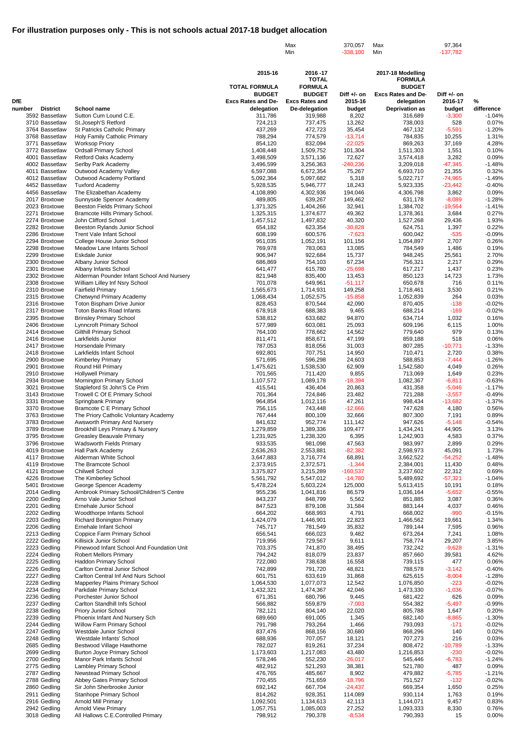|                                  |                                                                        |                                            | Max<br>Min                             | 370,057<br>$-338,100$  | Max<br>Min                              | 97,364<br>$-137,782$     |                      |
|----------------------------------|------------------------------------------------------------------------|--------------------------------------------|----------------------------------------|------------------------|-----------------------------------------|--------------------------|----------------------|
|                                  |                                                                        |                                            |                                        |                        |                                         |                          |                      |
|                                  |                                                                        | 2015-16                                    | 2016-17<br><b>TOTAL</b>                |                        | 2017-18 Modelling<br><b>FORMULA</b>     |                          |                      |
|                                  |                                                                        | <b>TOTAL FORMULA</b>                       | <b>FORMULA</b>                         |                        | <b>BUDGET</b>                           |                          |                      |
| <b>DfE</b>                       |                                                                        | <b>BUDGET</b><br><b>Excs Rates and De-</b> | <b>BUDGET</b><br><b>Excs Rates and</b> | Diff +/- on<br>2015-16 | <b>Excs Rates and De-</b><br>delegation | Diff $+/-$ on<br>2016-17 | %                    |
| <b>District</b><br>number        | School name                                                            | delegation                                 | De-delegation                          | budget                 | <b>Deprivation as</b>                   | budget                   | difference           |
| 3592 Bassetlaw<br>3710 Bassetlaw | Sutton Cum Lound C.E.<br>St.Joseph'S Retford                           | 311,786<br>724,213                         | 319,988<br>737,475                     | 8,202<br>13,262        | 316,689<br>738,003                      | $-3,300$<br>528          | $-1.04%$<br>0.07%    |
| 3764 Bassetlaw                   | St Patricks Catholic Primary                                           | 437,269                                    | 472,723                                | 35,454                 | 467,132                                 | $-5,591$                 | $-1.20%$             |
| 3768 Bassetlaw<br>3771 Bassetlaw | Holy Family Catholic Primary<br><b>Worksop Priory</b>                  | 788,294<br>854,120                         | 774,579<br>832,094                     | $-13,714$<br>$-22,025$ | 784,835<br>869,263                      | 10,255<br>37,169         | 1.31%<br>4.28%       |
| 3772 Bassetlaw                   | <b>Ordsall Primary School</b>                                          | 1,408,448                                  | 1,509,752                              | 101,304                | 1,511,303                               | 1,551                    | 0.10%                |
| 4001 Bassetlaw<br>4002 Bassetlaw | Retford Oaks Academy<br>Serlby Park Academy                            | 3,498,509<br>3,496,599                     | 3,571,136<br>3,256,363                 | 72,627<br>$-240,236$   | 3,574,418<br>3,209,018                  | 3,282<br>$-47,345$       | 0.09%<br>$-1.48%$    |
| 4011 Bassetlaw                   | Outwood Academy Valley                                                 | 6,597,088                                  | 6,672,354                              | 75,267                 | 6,693,710                               | 21,355                   | 0.32%                |
| 4012 Bassetlaw<br>4452 Bassetlaw | Outwood Academy Portland<br><b>Tuxford Academy</b>                     | 5,092,364<br>5,928,535                     | 5,097,682<br>5,946,777                 | 5,318<br>18,243        | 5,022,717<br>5,923,335                  | $-74,965$<br>$-23,442$   | $-1.49%$<br>$-0.40%$ |
| 4456 Bassetlaw                   | The Elizabethan Academy                                                | 4,108,890                                  | 4,302,936                              | 194,046                | 4,306,798                               | 3,862                    | 0.09%                |
| 2017 Broxtowe<br>2023 Broxtowe   | Sunnyside Spencer Academy<br><b>Beeston Fields Primary School</b>      | 489,805<br>1,371,325                       | 639,267<br>1,404,266                   | 149,462<br>32,941      | 631,178<br>1,384,702                    | $-8,089$<br>$-19,564$    | $-1.28%$<br>$-1.41%$ |
| 2271 Broxtowe                    | Bramcote Hills Primary School.                                         | 1,325,315                                  | 1,374,677                              | 49,362                 | 1,378,361                               | 3,684                    | 0.27%                |
| 2274 Broxtowe                    | John Clifford School                                                   | 1,457,512                                  | 1,497,832                              | 40,320                 | 1,527,268                               | 29,436                   | 1.93%                |
| 2282 Broxtowe<br>2286 Broxtowe   | Beeston Rylands Junior School<br><b>Trent Vale Infant School</b>       | 654,182<br>608,199                         | 623,354<br>600,576                     | $-30,828$<br>$-7,623$  | 624,751<br>600,042                      | 1,397<br>$-535$          | 0.22%<br>$-0.09%$    |
| 2294 Broxtowe                    | College House Junior School                                            | 951,035                                    | 1,052,191                              | 101,156                | 1,054,897                               | 2,707                    | 0.26%                |
| 2298 Broxtowe<br>2299 Broxtowe   | Meadow Lane Infants School<br><b>Eskdale Junior</b>                    | 769,978<br>906,947                         | 783,063<br>922,684                     | 13,085<br>15,737       | 784,549<br>948,245                      | 1,486<br>25,561          | 0.19%<br>2.70%       |
| 2300 Broxtowe                    | Albany Junior School                                                   | 686,869                                    | 754,103                                | 67,234                 | 756,321                                 | 2,217                    | 0.29%                |
| 2301 Broxtowe<br>2302 Broxtowe   | Albany Infants School<br>Alderman Pounder Infant School And Nursery    | 641,477<br>821,948                         | 615,780<br>835,400                     | $-25,698$<br>13,453    | 617,217<br>850,123                      | 1,437<br>14,723          | 0.23%<br>1.73%       |
| 2308 Broxtowe                    | William Lilley Inf Nsry School                                         | 701,078                                    | 649,961                                | $-51,117$              | 650,678                                 | 716                      | 0.11%                |
| 2310 Broxtowe<br>2315 Broxtowe   | <b>Fairfield Primary</b><br>Chetwynd Primary Academy                   | 1,565,673<br>1,068,434                     | 1,714,931<br>1,052,575                 | 149,258<br>$-15,858$   | 1,718,461<br>1,052,839                  | 3,530<br>264             | 0.21%<br>0.03%       |
| 2316 Broxtowe                    | Toton Bispham Drive Junior                                             | 828,453                                    | 870,544                                | 42,090                 | 870,405                                 | $-138$                   | $-0.02%$             |
| 2317 Broxtowe                    | <b>Toton Banks Road Infants</b><br><b>Brinsley Primary School</b>      | 678,918                                    | 688,383                                | 9,465<br>94,870        | 688,214                                 | $-169$<br>1,032          | $-0.02%$             |
| 2395 Broxtowe<br>2406 Broxtowe   | Lynncroft Primary School                                               | 538,812<br>577,989                         | 633,682<br>603,081                     | 25,093                 | 634,714<br>609,196                      | 6,115                    | 0.16%<br>1.00%       |
| 2414 Broxtowe                    | <b>Gilthill Primary School</b>                                         | 764,100                                    | 778,662                                | 14,562                 | 779,640                                 | 979                      | 0.13%                |
| 2416 Broxtowe<br>2417 Broxtowe   | Larkfields Junior<br><b>Horsendale Primary</b>                         | 811,471<br>787,053                         | 858,671<br>818,056                     | 47,199<br>31,003       | 859,188<br>807,285                      | 518<br>$-10,771$         | 0.06%<br>$-1.33%$    |
| 2418 Broxtowe                    | Larkfields Infant School                                               | 692,801                                    | 707,751                                | 14,950                 | 710,471                                 | 2,720                    | 0.38%                |
| 2900 Broxtowe<br>2901 Broxtowe   | <b>Kimberley Primary</b><br>Round Hill Primary                         | 571,695<br>1,475,621                       | 596,298<br>1,538,530                   | 24,603<br>62,909       | 588,853<br>1,542,580                    | $-7,444$<br>4,049        | $-1.26%$<br>0.26%    |
| 2910 Broxtowe                    | <b>Hollywell Primary</b>                                               | 701,565                                    | 711,420                                | 9,855                  | 713,069                                 | 1,649                    | 0.23%                |
| 2934 Broxtowe<br>3021 Broxtowe   | Mornington Primary School<br>Stapleford St John'S Ce Prim              | 1,107,572<br>415,541                       | 1,089,178<br>436,404                   | $-18,394$<br>20,863    | 1,082,367<br>431,358                    | $-6,811$<br>$-5,046$     | $-0.63%$<br>$-1.17%$ |
| 3143 Broxtowe                    | Trowell C Of E Primary School                                          | 701,364                                    | 724,846                                | 23,482                 | 721,288                                 | $-3,557$                 | $-0.49%$             |
| 3331 Broxtowe<br>3370 Broxtowe   | Springbank Primary<br><b>Bramcote C E Primary School</b>               | 964,854<br>756,115                         | 1,012,116<br>743,448                   | 47,261<br>$-12,666$    | 998,434<br>747,628                      | $-13,682$<br>4,180       | $-1.37%$<br>0.56%    |
| 3763 Broxtowe                    | The Priory Catholic Voluntary Academy                                  | 767,444                                    | 800,109                                | 32,666                 | 807,300                                 | 7,191                    | 0.89%                |
| 3783 Broxtowe<br>3789 Broxtowe   | Awsworth Primary And Nursery<br>Brookhill Leys Primary & Nursery       | 841,632<br>1,279,859                       | 952,774<br>1,389,336                   | 111,142<br>109,477     | 947,626<br>1,434,241                    | $-5,148$<br>44,905       | $-0.54%$<br>3.13%    |
| 3795 Broxtowe                    | <b>Greasley Beauvale Primary</b>                                       | 1,231,925                                  | 1,238,320                              | 6,395                  | 1,242,903                               | 4,583                    | 0.37%                |
| 3796 Broxtowe<br>4019 Broxtowe   | Wadsworth Fields Primary<br>Hall Park Academy                          | 933,535<br>2,636,263                       | 981,098<br>2,553,881                   | 47,563<br>$-82,382$    | 983,997<br>2,598,973                    | 2,899<br>45,091          | 0.29%<br>1.73%       |
| 4117 Broxtowe                    | Alderman White School                                                  | 3,647,883                                  | 3,716,774                              | 68,891                 | 3,662,522                               | $-54,252$                | $-1.48%$             |
| 4119 Broxtowe<br>4121 Broxtowe   | The Bramcote School<br><b>Chilwell School</b>                          | 2,373,915<br>3,375,827                     | 2,372,571<br>3,215,289                 | $-1,344$<br>$-160,537$ | 2,384,001<br>3,237,602                  | 11,430<br>22,312         | 0.48%<br>0.69%       |
| 4226 Broxtowe                    | The Kimberley School                                                   | 5,561,792                                  | 5,547,012                              | $-14,780$              | 5,489,692                               | $-57,321$                | $-1.04%$             |
| 5401 Broxtowe<br>2014 Gedling    | George Spencer Academy                                                 | 5,478,224                                  | 5,603,224<br>1,041,816                 | 125,000<br>86,579      | 5,613,415                               | 10,191<br>$-5,652$       | 0.18%<br>$-0.55%$    |
| 2200 Gedling                     | Arnbrook Primary School/Children'S Centre<br>Arno Vale Junior School   | 955,236<br>843,237                         | 848,799                                | 5,562                  | 1,036,164<br>851,885                    | 3,087                    | 0.36%                |
| 2201 Gedling                     | Ernehale Junior School                                                 | 847,523                                    | 879,108                                | 31,584                 | 883,144                                 | 4,037                    | 0.46%                |
| 2202 Gedling<br>2203 Gedling     | Woodthorpe Infants School<br><b>Richard Bonington Primary</b>          | 664,202<br>1,424,079                       | 668,993<br>1,446,901                   | 4,791<br>22,823        | 668,002<br>1,466,562                    | $-990$<br>19,661         | $-0.15%$<br>1.34%    |
| 2206 Gedling                     | Ernehale Infant School                                                 | 745,717                                    | 781,549                                | 35,832                 | 789,144                                 | 7,595                    | 0.96%                |
| 2213 Gedling<br>2222 Gedling     | Coppice Farm Primary School<br>Killisick Junior School                 | 656,541<br>719,956                         | 666,023<br>729,567                     | 9,482<br>9,611         | 673,264<br>758,774                      | 7,241<br>29,207          | 1.08%<br>3.85%       |
| 2223 Gedling                     | Pinewood Infant School And Foundation Unit                             | 703,375                                    | 741,870                                | 38,495                 | 732,242                                 | $-9,628$                 | $-1.31%$             |
| 2224 Gedling<br>2225 Gedling     | <b>Robert Mellors Primary</b><br>Haddon Primary School                 | 794,242<br>722,080                         | 818,079<br>738,638                     | 23,837<br>16,558       | 857,660<br>739,115                      | 39,581<br>477            | 4.62%<br>0.06%       |
| 2226 Gedling                     | <b>Carlton Central Junior School</b>                                   | 742,899                                    | 791,720                                | 48,821                 | 788,578                                 | $-3,142$                 | $-0.40%$             |
| 2227 Gedling<br>2228 Gedling     | Carlton Central Inf And Nurs School<br>Mapperley Plains Primary School | 601,751<br>1,064,530                       | 633,619<br>1,077,073                   | 31,868<br>12,542       | 625,615<br>1,076,850                    | $-8,004$<br>$-223$       | $-1.28%$<br>$-0.02%$ |
| 2234 Gedling                     | Parkdale Primary School                                                | 1,432,321                                  | 1,474,367                              | 42,046                 | 1,473,330                               | $-1,036$                 | $-0.07%$             |
| 2236 Gedling<br>2237 Gedling     | Porchester Junior School<br>Carlton Standhill Infs School              | 671,351<br>566,882                         | 680,796<br>559,879                     | 9,445<br>$-7,003$      | 681,422<br>554,382                      | 626<br>$-5,497$          | 0.09%<br>$-0.99%$    |
| 2238 Gedling                     | <b>Priory Junior School</b>                                            | 782,121                                    | 804,140                                | 22,020                 | 805,788                                 | 1,647                    | 0.20%                |
| 2239 Gedling<br>2244 Gedling     | Phoenix Infant And Nursery Sch<br>Willow Farm Primary School           | 689,660<br>791,798                         | 691,005<br>793,264                     | 1,345<br>1,466         | 682,140<br>793,093                      | $-8,865$<br>$-171$       | $-1.30%$<br>$-0.02%$ |
| 2247 Gedling                     | Westdale Junior School                                                 | 837,476                                    | 868,156                                | 30,680                 | 868,296                                 | 140                      | 0.02%                |
| 2248 Gedling<br>2685 Gedling     | Westdale Infants' School<br>Bestwood Village Hawthorne                 | 688,936<br>782,027                         | 707,057<br>819,261                     | 18,121<br>37,234       | 707,273<br>808,472                      | 216<br>$-10,789$         | 0.03%<br>$-1.33%$    |
| 2699 Gedling                     | <b>Burton Joyce Primary School</b>                                     | 1,173,603                                  | 1,217,083                              | 43,480                 | 1,216,853                               | $-230$                   | $-0.02%$             |
| 2700 Gedling                     | Manor Park Infants School                                              | 578,246                                    | 552,230                                | $-26,017$              | 545,446                                 | $-6,783$                 | $-1.24%$             |
| 2775 Gedling<br>2787 Gedling     | Lambley Primary School<br><b>Newstead Primary School</b>               | 482,912<br>476,765                         | 521,293<br>485,667                     | 38,381<br>8,902        | 521,780<br>479,882                      | 487<br>$-5,785$          | 0.09%<br>$-1.21%$    |
| 2788 Gedling                     | Abbey Gates Primary School                                             | 770,455                                    | 751,659                                | $-18,796$              | 751,527                                 | $-132$                   | $-0.02%$             |
| 2860 Gedling<br>2911 Gedling     | Sir John Sherbrooke Junior<br><b>Stanhope Primary School</b>           | 692,142<br>814,262                         | 667,704<br>928,351                     | $-24,437$<br>114,089   | 669,354<br>930,114                      | 1,650<br>1,763           | 0.25%<br>0.19%       |
| 2916 Gedling                     | <b>Arnold Mill Primary</b>                                             | 1,092,501                                  | 1,134,613                              | 42,113                 | 1,144,071                               | 9,457                    | 0.83%                |
| 2942 Gedling<br>3018 Gedling     | <b>Arnold View Primary</b><br>All Hallows C.E.Controlled Primary       | 1,057,751<br>798,912                       | 1,085,003<br>790,378                   | 27,252<br>$-8,534$     | 1,093,333<br>790,393                    | 8,330<br>15              | 0.76%<br>0.00%       |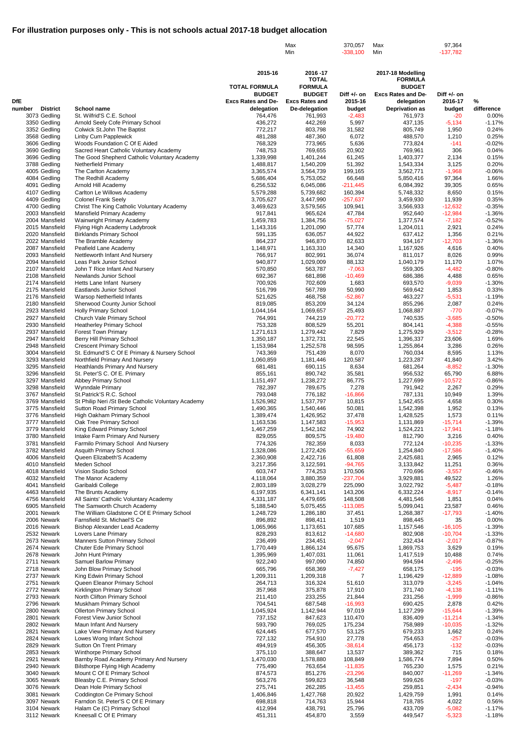|                                           |                                                                                  |                           | Max<br>Min                     | 370,057<br>$-338,100$ | Max<br>Min                       | 97,364<br>$-137,782$   |                      |
|-------------------------------------------|----------------------------------------------------------------------------------|---------------------------|--------------------------------|-----------------------|----------------------------------|------------------------|----------------------|
|                                           |                                                                                  |                           |                                |                       |                                  |                        |                      |
|                                           |                                                                                  | 2015-16                   | 2016-17                        |                       | 2017-18 Modelling                |                        |                      |
|                                           |                                                                                  | <b>TOTAL FORMULA</b>      | <b>TOTAL</b><br><b>FORMULA</b> |                       | <b>FORMULA</b><br><b>BUDGET</b>  |                        |                      |
|                                           |                                                                                  | <b>BUDGET</b>             | <b>BUDGET</b>                  | Diff $+/-$ on         | <b>Excs Rates and De-</b>        | Diff +/- on            |                      |
| <b>DfE</b>                                |                                                                                  | <b>Excs Rates and De-</b> | <b>Excs Rates and</b>          | 2015-16               | delegation                       | 2016-17                | %                    |
| <b>District</b><br>number<br>3073 Gedling | School name<br>St. Wilfrid'S C.E. School                                         | delegation<br>764,476     | De-delegation<br>761,993       | budget<br>$-2,483$    | <b>Deprivation as</b><br>761,973 | budget<br>$-20$        | difference<br>0.00%  |
| 3350 Gedling                              | Arnold Seely Cofe Primary School                                                 | 436,272                   | 442,269                        | 5,997                 | 437,135                          | $-5,134$               | $-1.17%$             |
| 3352 Gedling<br>3568 Gedling              | Colwick St.John The Baptist<br>Linby Cum Papplewick                              | 772,217<br>481,288        | 803,798<br>487,360             | 31,582<br>6,072       | 805,749<br>488,570               | 1,950<br>1,210         | 0.24%<br>0.25%       |
| 3606 Gedling                              | Woods Foundation C Of E Aided                                                    | 768,329                   | 773,965                        | 5,636                 | 773,824                          | $-141$                 | $-0.02%$             |
| 3690 Gedling                              | Sacred Heart Catholic Voluntary Academy                                          | 748,753                   | 769,655                        | 20,902                | 769,961                          | 306                    | 0.04%                |
| 3696 Gedling<br>3788 Gedling              | The Good Shepherd Catholic Voluntary Academy<br>Netherfield Primary              | 1,339,998<br>1,488,817    | 1,401,244<br>1,540,209         | 61,245<br>51,392      | 1,403,377<br>1,543,334           | 2,134<br>3,125         | 0.15%<br>0.20%       |
| 4005 Gedling                              | The Carlton Academy                                                              | 3,365,574                 | 3,564,739                      | 199,165               | 3,562,771                        | $-1,968$               | $-0.06%$             |
| 4084 Gedling<br>4091 Gedling              | The Redhill Academy<br>Arnold Hill Academy                                       | 5,686,404<br>6,256,532    | 5,753,052<br>6,045,086         | 66,648<br>$-211,445$  | 5,850,416<br>6,084,392           | 97,364<br>39,305       | 1.66%<br>0.65%       |
| 4107 Gedling                              | Carlton Le Willows Academy                                                       | 5,579,288                 | 5,739,682                      | 160,394               | 5,748,332                        | 8,650                  | 0.15%                |
| 4409 Gedling                              | <b>Colonel Frank Seely</b>                                                       | 3,705,627                 | 3,447,990                      | $-257,637$            | 3,459,930                        | 11,939                 | 0.35%                |
| 4700 Gedling<br>2003 Mansfield            | Christ The King Catholic Voluntary Academy<br>Mansfield Primary Academy          | 3,469,623<br>917,841      | 3,579,565<br>965,624           | 109,941<br>47,784     | 3,566,933<br>952,640             | $-12,632$<br>$-12,984$ | $-0.35%$<br>$-1.36%$ |
| 2004 Mansfield                            | Wainwright Primary Academy                                                       | 1,459,783                 | 1,384,756                      | $-75,027$             | 1,377,574                        | $-7,182$               | $-0.52%$             |
| 2015 Mansfield<br>2020 Mansfield          | Flying High Academy Ladybrook<br><b>Birklands Primary School</b>                 | 1,143,316<br>591,135      | 1,201,090<br>636,057           | 57,774<br>44,922      | 1,204,011<br>637,412             | 2,921<br>1,356         | 0.24%<br>0.21%       |
| 2022 Mansfield                            | The Bramble Academy                                                              | 864,237                   | 946,870                        | 82,633                | 934,167                          | $-12,703$              | $-1.36%$             |
| 2087 Mansfield                            | Peafield Lane Academy                                                            | 1,148,971                 | 1,163,310                      | 14,340                | 1,167,926                        | 4,616                  | 0.40%                |
| 2093 Mansfield<br>2094 Mansfield          | Nettleworth Infant And Nursery<br>Leas Park Junior School                        | 766,917<br>940,877        | 802,991<br>1,029,009           | 36,074<br>88,132      | 811,017<br>1,040,179             | 8,026<br>11,170        | 0.99%<br>1.07%       |
| 2107 Mansfield                            | John T Rice Infant And Nursery                                                   | 570,850                   | 563,787                        | $-7,063$              | 559,305                          | $-4,482$               | $-0.80%$             |
| 2108 Mansfield                            | Newlands Junior School                                                           | 692,367                   | 681,898                        | $-10,469$             | 686,386                          | 4,488                  | 0.65%                |
| 2174 Mansfield<br>2175 Mansfield          | Hetts Lane Infant Nursery<br><b>Eastlands Junior School</b>                      | 700,926<br>516,799        | 702,609<br>567,789             | 1,683<br>50,990       | 693,570<br>569,642               | $-9,039$<br>1,853      | $-1.30%$<br>0.33%    |
| 2176 Mansfield                            | Warsop Netherfield Infants                                                       | 521,625                   | 468,758                        | $-52,867$             | 463,227                          | $-5,531$               | $-1.19%$             |
| 2180 Mansfield<br>2923 Mansfield          | Sherwood County Junior School<br><b>Holly Primary School</b>                     | 819,085<br>1,044,164      | 853,209<br>1,069,657           | 34,124<br>25,493      | 855,296<br>1,068,887             | 2,087<br>$-770$        | 0.24%<br>$-0.07%$    |
| 2927 Mansfield                            | Church Vale Primary School                                                       | 764,991                   | 744,219                        | $-20,772$             | 740,535                          | $-3,685$               | $-0.50%$             |
| 2930 Mansfield                            | <b>Heatherley Primary School</b>                                                 | 753,328                   | 808,529                        | 55,201                | 804,141                          | $-4,388$               | $-0.55%$             |
| 2937 Mansfield<br>2947 Mansfield          | <b>Forest Town Primary</b><br>Berry Hill Primary School                          | 1,271,613<br>1,350,187    | 1,279,442<br>1,372,731         | 7,829<br>22,545       | 1,275,929<br>1,396,337           | $-3,512$<br>23,606     | $-0.28%$<br>1.69%    |
| 2948 Mansfield                            | <b>Crescent Primary School</b>                                                   | 1,153,984                 | 1,252,578                      | 98,595                | 1,255,864                        | 3,286                  | 0.26%                |
| 3004 Mansfield<br>3293 Mansfield          | St. Edmund'S C Of E Primary & Nursery School                                     | 743,369                   | 751,439                        | 8,070<br>120,587      | 760,034                          | 8,595                  | 1.13%<br>3.42%       |
| 3295 Mansfield                            | Northfield Primary And Nursery<br>Heathlands Primary And Nursery                 | 1,060,859<br>681,481      | 1,181,446<br>690,115           | 8,634                 | 1,223,287<br>681,264             | 41,840<br>$-8,852$     | $-1.30%$             |
| 3296 Mansfield                            | St. Peter'S C. Of E. Primary                                                     | 855,161                   | 890,742                        | 35,581                | 956,532                          | 65,790                 | 6.88%                |
| 3297 Mansfield<br>3298 Mansfield          | Abbey Primary School<br>Wynndale Primary                                         | 1,151,497<br>782,397      | 1,238,272<br>789,675           | 86,775<br>7,278       | 1,227,699<br>791,942             | $-10,572$<br>2,267     | $-0.86%$<br>0.29%    |
| 3767 Mansfield                            | St.Patrick'S R.C. School                                                         | 793,048                   | 776,182                        | $-16,866$             | 787,131                          | 10,949                 | 1.39%                |
| 3769 Mansfield                            | St Philip Neri / St Bede Catholic Voluntary Academy                              | 1,526,982                 | 1,537,797                      | 10,815                | 1,542,455                        | 4,658                  | 0.30%                |
| 3775 Mansfield<br>3776 Mansfield          | Sutton Road Primary School<br>High Oakham Primary School                         | 1,490,365<br>1,389,474    | 1,540,446<br>1,426,952         | 50,081<br>37,478      | 1,542,398<br>1,428,525           | 1,952<br>1,573         | 0.13%<br>0.11%       |
| 3777 Mansfield                            | Oak Tree Primary School                                                          | 1,163,536                 | 1,147,583                      | $-15,953$             | 1,131,869                        | $-15,714$              | $-1.39%$             |
| 3779 Mansfield<br>3780 Mansfield          | King Edward Primary School<br>Intake Farm Primary And Nursery                    | 1,467,259<br>829,055      | 1,542,162<br>809,575           | 74,902<br>$-19,480$   | 1,524,221<br>812,790             | $-17,941$<br>3,216     | $-1.18%$<br>0.40%    |
| 3781 Mansfield                            | Farmilo Primary School And Nursery                                               | 774,326                   | 782,359                        | 8,033                 | 772,124                          | $-10,235$              | $-1.33%$             |
| 3782 Mansfield                            | Asquith Primary School                                                           | 1,328,086                 | 1,272,426                      | $-55,659$             | 1,254,840                        | $-17,586$              | $-1.40%$             |
| 4006 Mansfield<br>4010 Mansfield          | Queen Elizabeth'S Academy<br>Meden School                                        | 2,360,908<br>3,217,356    | 2,422,716<br>3,122,591         | 61,808<br>$-94,765$   | 2,425,681<br>3,133,842           | 2,965<br>11,251        | 0.12%<br>0.36%       |
| 4018 Mansfield                            | Vision Studio School                                                             | 603,747                   | 774,253                        | 170,506               | 770,696                          | $-3,557$               | $-0.46%$             |
| 4032 Mansfield                            | The Manor Academy                                                                | 4,118,064                 | 3,880,359                      | $-237,704$            | 3,929,881                        | 49,522                 | 1.26%                |
| 4041 Mansfield<br>4463 Mansfield          | Garibaldi College<br>The Brunts Academy                                          | 2,803,189<br>6,197,935    | 3,028,279<br>6,341,141         | 225,090<br>143,206    | 3,022,792<br>6,332,224           | $-5,487$<br>$-8,917$   | $-0.18%$<br>$-0.14%$ |
| 4756 Mansfield                            | All Saints' Catholic Voluntary Academy                                           | 4,331,187                 | 4,479,695                      | 148,508               | 4,481,546                        | 1,851                  | 0.04%                |
| 6905 Mansfield<br>2001 Newark             | The Samworth Church Academy<br>The William Gladstone C Of E Primary School       | 5,188,540<br>1,248,729    | 5,075,455<br>1,286,180         | $-113,085$<br>37,451  | 5,099,041<br>1,268,387           | 23,587<br>$-17,793$    | 0.46%<br>$-1.40%$    |
| 2006 Newark                               | Farnsfield St. Michael'S Ce                                                      | 896,892                   | 898,411                        | 1,519                 | 898,445                          | 35                     | 0.00%                |
| 2016 Newark                               | Bishop Alexander Lead Academy                                                    | 1,065,966                 | 1,173,651                      | 107,685               | 1,157,546                        | $-16,105$              | $-1.39%$             |
| 2532 Newark<br>2673 Newark                | Lovers Lane Primary<br>Manners Sutton Primary School                             | 828,293<br>236,499        | 813,612<br>234,451             | $-14,680$<br>$-2,047$ | 802,908<br>232,434               | $-10,704$<br>$-2,017$  | $-1.33%$<br>$-0.87%$ |
| 2674 Newark                               | Chuter Ede Primary School                                                        | 1,770,449                 | 1,866,124                      | 95,675                | 1,869,753                        | 3,629                  | 0.19%                |
| 2678 Newark<br>2711 Newark                | John Hunt Primary<br><b>Samuel Barlow Primary</b>                                | 1,395,969<br>922,240      | 1,407,031<br>997,090           | 11,061<br>74,850      | 1,417,519<br>994,594             | 10,488<br>$-2,496$     | 0.74%<br>$-0.25%$    |
| 2718 Newark                               | John Blow Primary School                                                         | 665,796                   | 658,369                        | $-7,427$              | 658,175                          | $-195$                 | $-0.03%$             |
| 2737 Newark                               | King Edwin Primary School                                                        | 1,209,311                 | 1,209,318                      | 7                     | 1,196,429                        | $-12,889$              | $-1.08%$             |
| 2751 Newark<br>2772 Newark                | Queen Eleanor Primary School<br>Kirklington Primary School                       | 264,713<br>357,968        | 316,324<br>375,878             | 51,610<br>17,910      | 313,079<br>371,740               | $-3,245$<br>$-4,138$   | $-1.04%$<br>$-1.11%$ |
| 2793 Newark                               | North Clifton Primary School                                                     | 211,410                   | 233,255                        | 21,844                | 231,256                          | $-1,999$               | $-0.86%$             |
| 2796 Newark                               | Muskham Primary School                                                           | 704,541                   | 687,548                        | $-16,993$             | 690,425                          | 2,878                  | 0.42%                |
| 2800 Newark<br>2801 Newark                | <b>Ollerton Primary School</b><br><b>Forest View Junior School</b>               | 1,045,924<br>737,152      | 1,142,944<br>847,623           | 97,019<br>110,470     | 1,127,299<br>836,409             | $-15,644$<br>$-11,214$ | $-1.39%$<br>$-1.34%$ |
| 2802 Newark                               | Maun Infant And Nursery                                                          | 593,790                   | 769,025                        | 175,234               | 758,989                          | $-10,035$              | $-1.32%$             |
| 2821 Newark                               | Lake View Primary And Nursery                                                    | 624,445                   | 677,570                        | 53,125                | 679,233                          | 1,662                  | 0.24%                |
| 2824 Newark<br>2829 Newark                | Lowes Wong Infant School<br>Sutton On Trent Primary                              | 727,132<br>494,919        | 754,910<br>456,305             | 27,778<br>$-38,614$   | 754,653<br>456,173               | $-257$<br>$-132$       | $-0.03%$<br>$-0.03%$ |
| 2853 Newark                               | Winthorpe Primary School                                                         | 375,110                   | 388,647                        | 13,537                | 389,362                          | 715                    | 0.18%                |
| 2921 Newark<br>2940 Newark                | Barnby Road Academy Primary And Nursery<br><b>Bilsthorpe Flying High Academy</b> | 1,470,030<br>775,490      | 1,578,880<br>763,654           | 108,849<br>$-11,835$  | 1,586,774<br>765,230             | 7,894<br>1,575         | 0.50%<br>0.21%       |
| 3040 Newark                               | Mount C Of E Primary School                                                      | 874,573                   | 851,276                        | $-23,296$             | 840,007                          | $-11,269$              | $-1.34%$             |
| 3065 Newark                               | Bleasby C.E. Primary School                                                      | 563,276                   | 599,823                        | 36,548                | 599,626                          | $-197$                 | $-0.03%$             |
| 3076 Newark<br>3081 Newark                | Dean Hole Primary School<br>Coddington Ce Primary School                         | 275,741<br>1,406,846      | 262,285<br>1,427,768           | $-13,455$<br>20,922   | 259,851<br>1,429,759             | $-2,434$<br>1,991      | $-0.94%$<br>0.14%    |
| 3097 Newark                               | Farndon St. Peter'S C Of E Primary                                               | 698,818                   | 714,763                        | 15,944                | 718,785                          | 4,022                  | 0.56%                |
| 3104 Newark<br>3112 Newark                | Halam Ce (C) Primary School<br>Kneesall C Of E Primary                           | 412,994<br>451,311        | 438,791<br>454,870             | 25,796<br>3,559       | 433,709<br>449,547               | $-5,082$<br>$-5,323$   | $-1.17%$<br>$-1.18%$ |